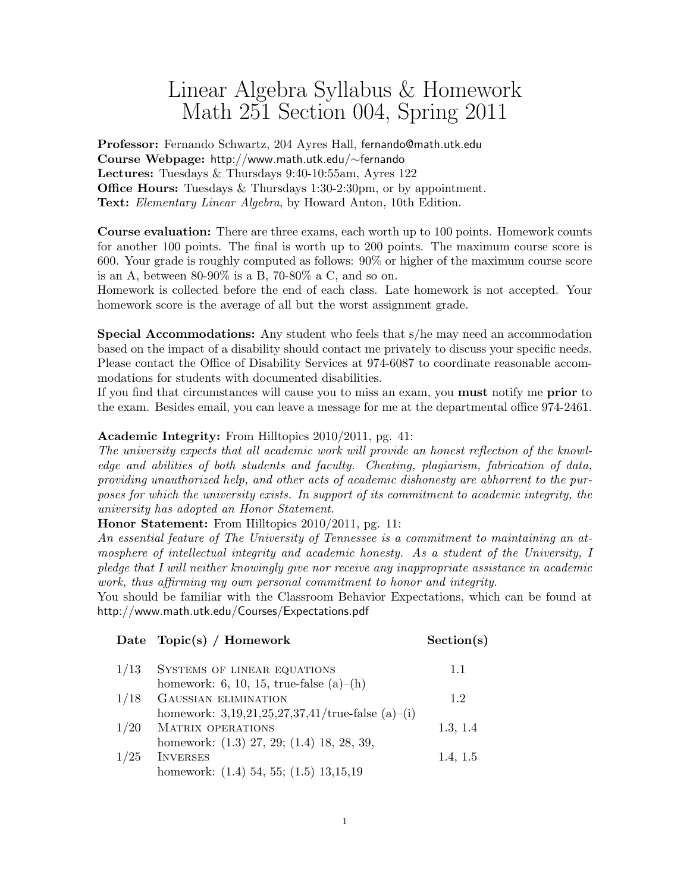## Linear Algebra Syllabus & Homework Math 251 Section 004, Spring 2011

Professor: Fernando Schwartz, 204 Ayres Hall, fernando@math.utk.edu Course Webpage: http://www.math.utk.edu/∼fernando Lectures: Tuesdays & Thursdays 9:40-10:55am, Ayres 122 **Office Hours:** Tuesdays & Thursdays 1:30-2:30pm, or by appointment. Text: Elementary Linear Algebra, by Howard Anton, 10th Edition.

Course evaluation: There are three exams, each worth up to 100 points. Homework counts for another 100 points. The final is worth up to 200 points. The maximum course score is 600. Your grade is roughly computed as follows: 90% or higher of the maximum course score is an A, between  $80-90\%$  is a B, 70-80% a C, and so on.

Homework is collected before the end of each class. Late homework is not accepted. Your homework score is the average of all but the worst assignment grade.

Special Accommodations: Any student who feels that s/he may need an accommodation based on the impact of a disability should contact me privately to discuss your specific needs. Please contact the Office of Disability Services at 974-6087 to coordinate reasonable accommodations for students with documented disabilities.

If you find that circumstances will cause you to miss an exam, you must notify me prior to the exam. Besides email, you can leave a message for me at the departmental office 974-2461.

## Academic Integrity: From Hilltopics 2010/2011, pg. 41:

The university expects that all academic work will provide an honest reflection of the knowledge and abilities of both students and faculty. Cheating, plagiarism, fabrication of data, providing unauthorized help, and other acts of academic dishonesty are abhorrent to the purposes for which the university exists. In support of its commitment to academic integrity, the university has adopted an Honor Statement.

Honor Statement: From Hilltopics 2010/2011, pg. 11:

An essential feature of The University of Tennessee is a commitment to maintaining an atmosphere of intellectual integrity and academic honesty. As a student of the University, I pledge that I will neither knowingly give nor receive any inappropriate assistance in academic work, thus affirming my own personal commitment to honor and integrity.

You should be familiar with the Classroom Behavior Expectations, which can be found at http://www.math.utk.edu/Courses/Expectations.pdf

|      | Date $Topic(s) / Homework$                          | Section(s) |
|------|-----------------------------------------------------|------------|
| 1/13 | SYSTEMS OF LINEAR EQUATIONS                         | 1.1        |
|      | homework: 6, 10, 15, true-false $(a)$ – $(h)$       |            |
| 1/18 | <b>GAUSSIAN ELIMINATION</b>                         | 1.2        |
|      | homework: $3,19,21,25,27,37,41$ /true-false (a)-(i) |            |
| 1/20 | <b>MATRIX OPERATIONS</b>                            | 1.3, 1.4   |
|      | homework: (1.3) 27, 29; (1.4) 18, 28, 39,           |            |
| 1/25 | <b>INVERSES</b>                                     | 1.4, 1.5   |
|      | homework: $(1.4)$ 54, 55; $(1.5)$ 13, 15, 19        |            |
|      |                                                     |            |